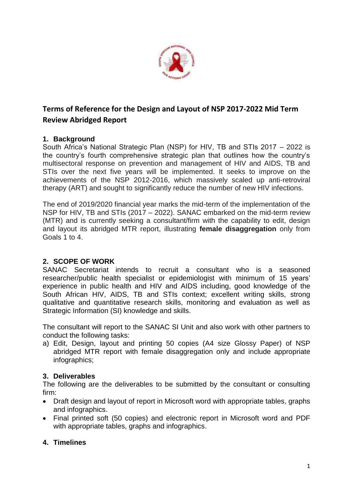

# **Terms of Reference for the Design and Layout of NSP 2017-2022 Mid Term Review Abridged Report**

### **1. Background**

South Africa's National Strategic Plan (NSP) for HIV, TB and STIs 2017 – 2022 is the country's fourth comprehensive strategic plan that outlines how the country's multisectoral response on prevention and management of HIV and AIDS, TB and STIs over the next five years will be implemented. It seeks to improve on the achievements of the NSP 2012-2016, which massively scaled up anti-retroviral therapy (ART) and sought to significantly reduce the number of new HIV infections.

The end of 2019/2020 financial year marks the mid-term of the implementation of the NSP for HIV, TB and STIs (2017 – 2022). SANAC embarked on the mid-term review (MTR) and is currently seeking a consultant/firm with the capability to edit, design and layout its abridged MTR report, illustrating **female disaggregation** only from Goals 1 to 4.

#### **2. SCOPE OF WORK**

SANAC Secretariat intends to recruit a consultant who is a seasoned researcher/public health specialist or epidemiologist with minimum of 15 years' experience in public health and HIV and AIDS including, good knowledge of the South African HIV, AIDS, TB and STIs context; excellent writing skills, strong qualitative and quantitative research skills, monitoring and evaluation as well as Strategic Information (SI) knowledge and skills.

The consultant will report to the SANAC SI Unit and also work with other partners to conduct the following tasks:

a) Edit, Design, layout and printing 50 copies (A4 size Glossy Paper) of NSP abridged MTR report with female disaggregation only and include appropriate infographics;

#### **3. Deliverables**

The following are the deliverables to be submitted by the consultant or consulting firm:

- Draft design and layout of report in Microsoft word with appropriate tables, graphs and infographics.
- Final printed soft (50 copies) and electronic report in Microsoft word and PDF with appropriate tables, graphs and infographics.

# **4. Timelines**